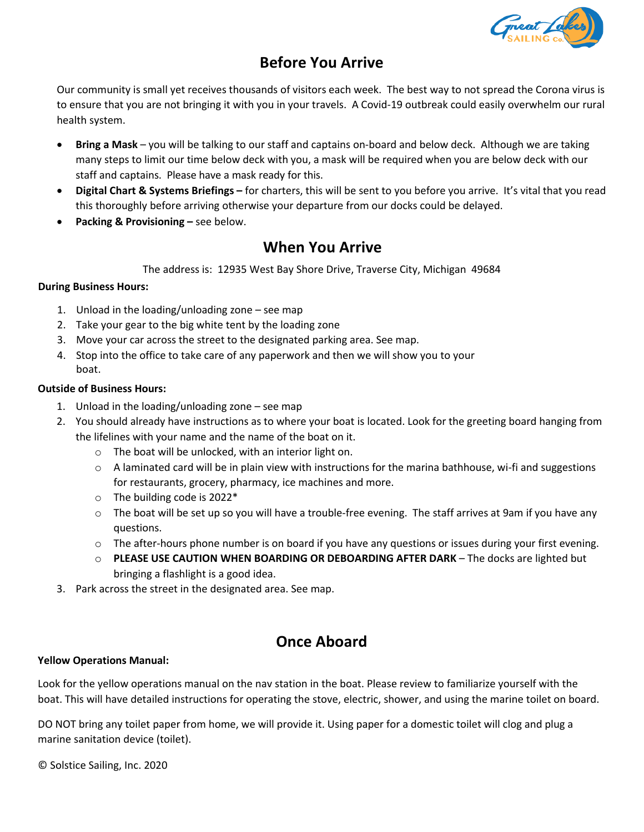

# **Before You Arrive**

Our community is small yet receives thousands of visitors each week. The best way to not spread the Corona virus is to ensure that you are not bringing it with you in your travels. A Covid-19 outbreak could easily overwhelm our rural health system.

- **Bring a Mask** you will be talking to our staff and captains on-board and below deck. Although we are taking many steps to limit our time below deck with you, a mask will be required when you are below deck with our staff and captains. Please have a mask ready for this.
- **Digital Chart & Systems Briefings –** for charters, this will be sent to you before you arrive. It's vital that you read this thoroug[hly before arriving otherwise your departure from](https://www.greatlakessailingco.com/covid-19-screening-quiz/) our docks could be delayed.
- **Packing & Provisioning –** see below.

## **When You Arrive**

The address is: 12935 West Bay Shore Drive, Traverse City, Michigan 49684

### **During Business Hours:**

- 1. Unload in the loading/unloading zone see map
- 2. Take your gear to the big white tent by the loading zone
- 3. Move your car across the street to the designated parking area. See map.
- 4. Stop into the office to take care of any paperwork and then we will show you to your boat.

#### **Outside of Business Hours:**

- 1. Unload in the loading/unloading zone see map
- 2. You should already have instructions as to where your boat is located. Look for the greeting board hanging from the lifelines with your name and the name of the boat on it.
	- o The boat will be unlocked, with an interior light on.
	- $\circ$  A laminated card will be in plain view with instructions for the marina bathhouse, wi-fi and suggestions for restaurants, grocery, pharmacy, ice machines and more.
	- o The building code is 2022\*
	- o The boat will be set up so you will have a trouble-free evening. The staff arrives at 9am if you have any questions.
	- $\circ$  The after-hours phone number is on board if you have any questions or issues during your first evening.
	- o **PLEASE USE CAUTION WHEN BOARDING OR DEBOARDING AFTER DARK** The docks are lighted but bringing a flashlight is a good idea.
- 3. Park across the street in the designated area. See map.

## **Once Aboard**

#### **Yellow Operations Manual:**

Look for the yellow operations manual on the nav station in the boat. Please review to familiarize yourself with the boat. This will have detailed instructions for operating the stove, electric, shower, and using the marine toilet on board.

DO NOT bring any toilet paper from home, we will provide it. Using paper for a domestic toilet will clog and plug a marine sanitation device (toilet).

© Solstice Sailing, Inc. 2020